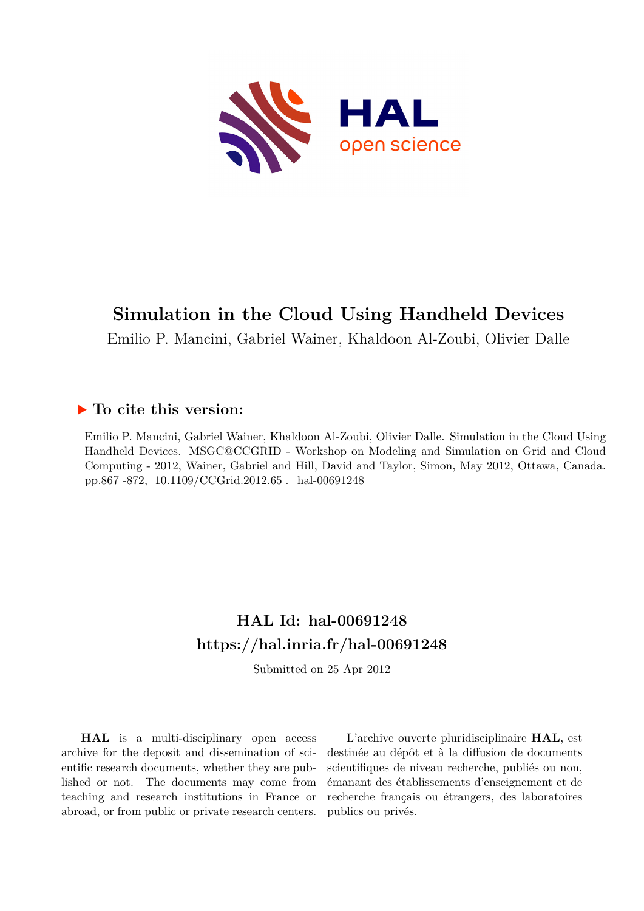

# **Simulation in the Cloud Using Handheld Devices**

Emilio P. Mancini, Gabriel Wainer, Khaldoon Al-Zoubi, Olivier Dalle

# **To cite this version:**

Emilio P. Mancini, Gabriel Wainer, Khaldoon Al-Zoubi, Olivier Dalle. Simulation in the Cloud Using Handheld Devices. MSGC@CCGRID - Workshop on Modeling and Simulation on Grid and Cloud Computing - 2012, Wainer, Gabriel and Hill, David and Taylor, Simon, May 2012, Ottawa, Canada. pp.867 -872, 10.1109/CCGrid.2012.65 hal-00691248

# **HAL Id: hal-00691248 <https://hal.inria.fr/hal-00691248>**

Submitted on 25 Apr 2012

**HAL** is a multi-disciplinary open access archive for the deposit and dissemination of scientific research documents, whether they are published or not. The documents may come from teaching and research institutions in France or abroad, or from public or private research centers.

L'archive ouverte pluridisciplinaire **HAL**, est destinée au dépôt et à la diffusion de documents scientifiques de niveau recherche, publiés ou non, émanant des établissements d'enseignement et de recherche français ou étrangers, des laboratoires publics ou privés.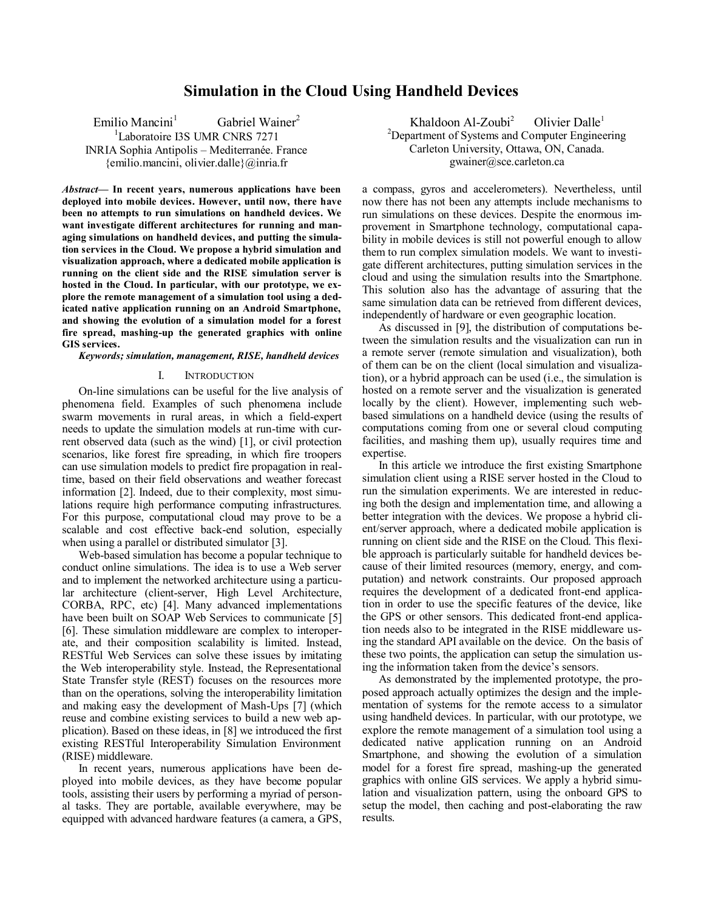# **Simulation in the Cloud Using Handheld Devices**

Emilio Mancini<sup>1</sup> Gabriel Wainer<sup>2</sup>

<sup>1</sup>Laboratoire I3S UMR CNRS 7271

INRIA Sophia Antipolis – Mediterranée. France {emilio.mancini, olivier.dalle}@inria.fr

*Abstract***— In recent years, numerous applications have been deployed into mobile devices. However, until now, there have been no attempts to run simulations on handheld devices. We want investigate different architectures for running and managing simulations on handheld devices, and putting the simulation services in the Cloud. We propose a hybrid simulation and visualization approach, where a dedicated mobile application is running on the client side and the RISE simulation server is hosted in the Cloud. In particular, with our prototype, we explore the remote management of a simulation tool using a dedicated native application running on an Android Smartphone, and showing the evolution of a simulation model for a forest fire spread, mashing-up the generated graphics with online GIS services.**

*Keywords; simulation, management, RISE, handheld devices*

# I. INTRODUCTION

On-line simulations can be useful for the live analysis of phenomena field. Examples of such phenomena include swarm movements in rural areas, in which a field-expert needs to update the simulation models at run-time with current observed data (such as the wind) [1], or civil protection scenarios, like forest fire spreading, in which fire troopers can use simulation models to predict fire propagation in realtime, based on their field observations and weather forecast information [2]. Indeed, due to their complexity, most simulations require high performance computing infrastructures. For this purpose, computational cloud may prove to be a scalable and cost effective back-end solution, especially when using a parallel or distributed simulator [3].

Web-based simulation has become a popular technique to conduct online simulations. The idea is to use a Web server and to implement the networked architecture using a particular architecture (client-server, High Level Architecture, CORBA, RPC, etc) [4]. Many advanced implementations have been built on SOAP Web Services to communicate [5] [6]. These simulation middleware are complex to interoperate, and their composition scalability is limited. Instead, RESTful Web Services can solve these issues by imitating the Web interoperability style. Instead, the Representational State Transfer style (REST) focuses on the resources more than on the operations, solving the interoperability limitation and making easy the development of Mash-Ups [7] (which reuse and combine existing services to build a new web application). Based on these ideas, in [8] we introduced the first existing RESTful Interoperability Simulation Environment (RISE) middleware.

In recent years, numerous applications have been deployed into mobile devices, as they have become popular tools, assisting their users by performing a myriad of personal tasks. They are portable, available everywhere, may be equipped with advanced hardware features (a camera, a GPS,

Khaldoon  $Al-Zoubi<sup>2</sup>$ Olivier Dalle<sup>1</sup> <sup>2</sup>Department of Systems and Computer Engineering Carleton University, Ottawa, ON, Canada. gwainer@sce.carleton.ca

a compass, gyros and accelerometers). Nevertheless, until now there has not been any attempts include mechanisms to run simulations on these devices. Despite the enormous improvement in Smartphone technology, computational capability in mobile devices is still not powerful enough to allow them to run complex simulation models. We want to investigate different architectures, putting simulation services in the cloud and using the simulation results into the Smartphone. This solution also has the advantage of assuring that the same simulation data can be retrieved from different devices, independently of hardware or even geographic location.

As discussed in [9], the distribution of computations between the simulation results and the visualization can run in a remote server (remote simulation and visualization), both of them can be on the client (local simulation and visualization), or a hybrid approach can be used (i.e., the simulation is hosted on a remote server and the visualization is generated locally by the client). However, implementing such webbased simulations on a handheld device (using the results of computations coming from one or several cloud computing facilities, and mashing them up), usually requires time and expertise.

In this article we introduce the first existing Smartphone simulation client using a RISE server hosted in the Cloud to run the simulation experiments. We are interested in reducing both the design and implementation time, and allowing a better integration with the devices. We propose a hybrid client/server approach, where a dedicated mobile application is running on client side and the RISE on the Cloud. This flexible approach is particularly suitable for handheld devices because of their limited resources (memory, energy, and computation) and network constraints. Our proposed approach requires the development of a dedicated front-end application in order to use the specific features of the device, like the GPS or other sensors. This dedicated front-end application needs also to be integrated in the RISE middleware using the standard API available on the device. On the basis of these two points, the application can setup the simulation using the information taken from the device's sensors.

As demonstrated by the implemented prototype, the proposed approach actually optimizes the design and the implementation of systems for the remote access to a simulator using handheld devices. In particular, with our prototype, we explore the remote management of a simulation tool using a dedicated native application running on an Android Smartphone, and showing the evolution of a simulation model for a forest fire spread, mashing-up the generated graphics with online GIS services. We apply a hybrid simulation and visualization pattern, using the onboard GPS to setup the model, then caching and post-elaborating the raw results.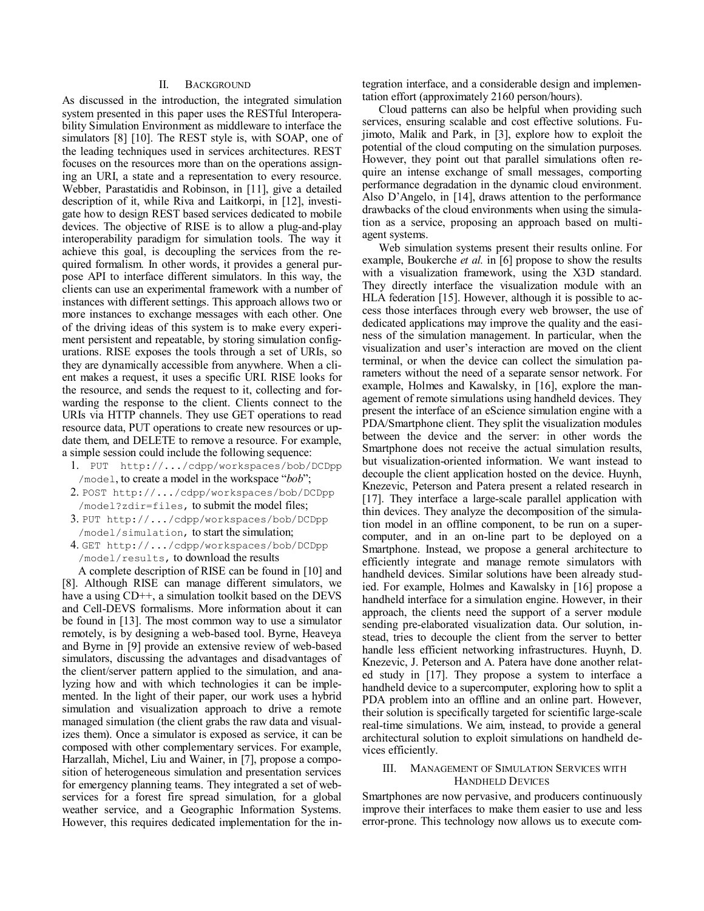## II. BACKGROUND

As discussed in the introduction, the integrated simulation system presented in this paper uses the RESTful Interoperability Simulation Environment as middleware to interface the simulators [8] [10]. The REST style is, with SOAP, one of the leading techniques used in services architectures. REST focuses on the resources more than on the operations assigning an URI, a state and a representation to every resource. Webber, Parastatidis and Robinson, in [11], give a detailed description of it, while Riva and Laitkorpi, in [12], investigate how to design REST based services dedicated to mobile devices. The objective of RISE is to allow a plug-and-play interoperability paradigm for simulation tools. The way it achieve this goal, is decoupling the services from the required formalism. In other words, it provides a general purpose API to interface different simulators. In this way, the clients can use an experimental framework with a number of instances with different settings. This approach allows two or more instances to exchange messages with each other. One of the driving ideas of this system is to make every experiment persistent and repeatable, by storing simulation configurations. RISE exposes the tools through a set of URIs, so they are dynamically accessible from anywhere. When a client makes a request, it uses a specific URI. RISE looks for the resource, and sends the request to it, collecting and forwarding the response to the client. Clients connect to the URIs via HTTP channels. They use GET operations to read resource data, PUT operations to create new resources or update them, and DELETE to remove a resource. For example, a simple session could include the following sequence:

- 1. PUT http://.../cdpp/workspaces/bob/DCDpp /model, to create a model in the workspace "*bob*";
- 2. POST http://.../cdpp/workspaces/bob/DCDpp /model?zdir=files, to submit the model files;
- 3. PUT http://.../cdpp/workspaces/bob/DCDpp /model/simulation, to start the simulation;
- 4. GET http://.../cdpp/workspaces/bob/DCDpp /model/results, to download the results

A complete description of RISE can be found in [10] and [8]. Although RISE can manage different simulators, we have a using CD<sup>++</sup>, a simulation toolkit based on the DEVS and Cell-DEVS formalisms. More information about it can be found in [13]. The most common way to use a simulator remotely, is by designing a web-based tool. Byrne, Heaveya and Byrne in [9] provide an extensive review of web-based simulators, discussing the advantages and disadvantages of the client/server pattern applied to the simulation, and analyzing how and with which technologies it can be implemented. In the light of their paper, our work uses a hybrid simulation and visualization approach to drive a remote managed simulation (the client grabs the raw data and visualizes them). Once a simulator is exposed as service, it can be composed with other complementary services. For example, Harzallah, Michel, Liu and Wainer, in [7], propose a composition of heterogeneous simulation and presentation services for emergency planning teams. They integrated a set of webservices for a forest fire spread simulation, for a global weather service, and a Geographic Information Systems. However, this requires dedicated implementation for the integration interface, and a considerable design and implementation effort (approximately 2160 person/hours).

Cloud patterns can also be helpful when providing such services, ensuring scalable and cost effective solutions. Fujimoto, Malik and Park, in [3], explore how to exploit the potential of the cloud computing on the simulation purposes. However, they point out that parallel simulations often require an intense exchange of small messages, comporting performance degradation in the dynamic cloud environment. Also D'Angelo, in [14], draws attention to the performance drawbacks of the cloud environments when using the simulation as a service, proposing an approach based on multiagent systems.

Web simulation systems present their results online. For example, Boukerche *et al.* in [6] propose to show the results with a visualization framework, using the X3D standard. They directly interface the visualization module with an HLA federation [15]. However, although it is possible to access those interfaces through every web browser, the use of dedicated applications may improve the quality and the easiness of the simulation management. In particular, when the visualization and user's interaction are moved on the client terminal, or when the device can collect the simulation parameters without the need of a separate sensor network. For example, Holmes and Kawalsky, in [16], explore the management of remote simulations using handheld devices. They present the interface of an eScience simulation engine with a PDA/Smartphone client. They split the visualization modules between the device and the server: in other words the Smartphone does not receive the actual simulation results, but visualization-oriented information. We want instead to decouple the client application hosted on the device. Huynh, Knezevic, Peterson and Patera present a related research in [17]. They interface a large-scale parallel application with thin devices. They analyze the decomposition of the simulation model in an offline component, to be run on a supercomputer, and in an on-line part to be deployed on a Smartphone. Instead, we propose a general architecture to efficiently integrate and manage remote simulators with handheld devices. Similar solutions have been already studied. For example, Holmes and Kawalsky in [16] propose a handheld interface for a simulation engine. However, in their approach, the clients need the support of a server module sending pre-elaborated visualization data. Our solution, instead, tries to decouple the client from the server to better handle less efficient networking infrastructures. Huynh, D. Knezevic, J. Peterson and A. Patera have done another related study in [17]. They propose a system to interface a handheld device to a supercomputer, exploring how to split a PDA problem into an offline and an online part. However, their solution is specifically targeted for scientific large-scale real-time simulations. We aim, instead, to provide a general architectural solution to exploit simulations on handheld devices efficiently.

# III. MANAGEMENT OF SIMULATION SERVICES WITH HANDHELD DEVICES

Smartphones are now pervasive, and producers continuously improve their interfaces to make them easier to use and less error-prone. This technology now allows us to execute com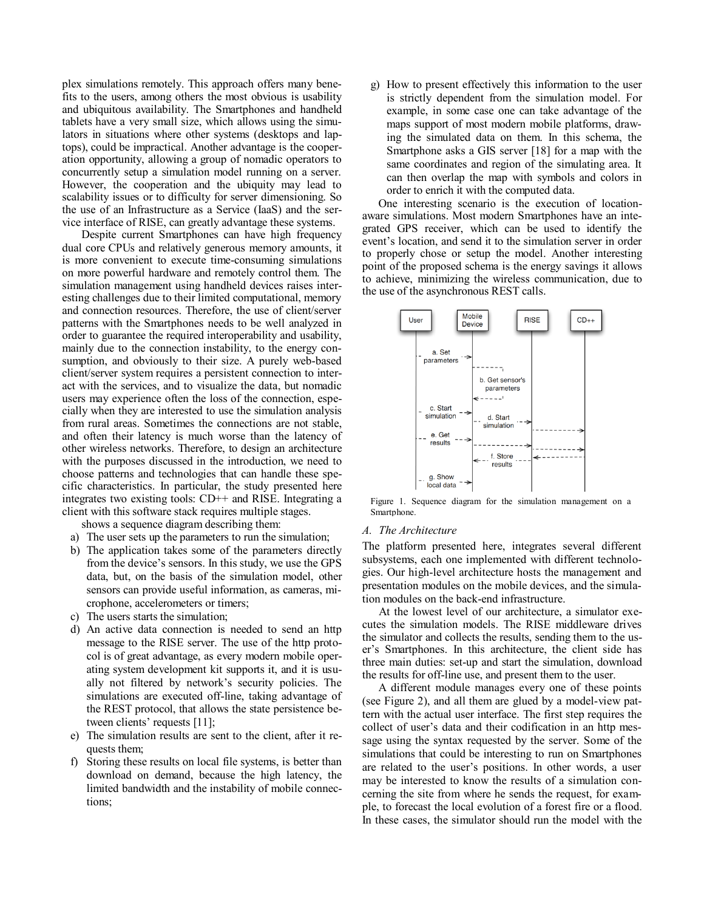plex simulations remotely. This approach offers many benefits to the users, among others the most obvious is usability and ubiquitous availability. The Smartphones and handheld tablets have a very small size, which allows using the simulators in situations where other systems (desktops and laptops), could be impractical. Another advantage is the cooperation opportunity, allowing a group of nomadic operators to concurrently setup a simulation model running on a server. However, the cooperation and the ubiquity may lead to scalability issues or to difficulty for server dimensioning. So the use of an Infrastructure as a Service (IaaS) and the service interface of RISE, can greatly advantage these systems.

Despite current Smartphones can have high frequency dual core CPUs and relatively generous memory amounts, it is more convenient to execute time-consuming simulations on more powerful hardware and remotely control them. The simulation management using handheld devices raises interesting challenges due to their limited computational, memory and connection resources. Therefore, the use of client/server patterns with the Smartphones needs to be well analyzed in order to guarantee the required interoperability and usability, mainly due to the connection instability, to the energy consumption, and obviously to their size. A purely web-based client/server system requires a persistent connection to interact with the services, and to visualize the data, but nomadic users may experience often the loss of the connection, especially when they are interested to use the simulation analysis from rural areas. Sometimes the connections are not stable, and often their latency is much worse than the latency of other wireless networks. Therefore, to design an architecture with the purposes discussed in the introduction, we need to choose patterns and technologies that can handle these specific characteristics. In particular, the study presented here integrates two existing tools: CD++ and RISE. Integrating a client with this software stack requires multiple stages.

shows a sequence diagram describing them:

- a) The user sets up the parameters to run the simulation;
- b) The application takes some of the parameters directly from the device's sensors. In this study, we use the GPS data, but, on the basis of the simulation model, other sensors can provide useful information, as cameras, microphone, accelerometers or timers;
- c) The users starts the simulation;
- d) An active data connection is needed to send an http message to the RISE server. The use of the http protocol is of great advantage, as every modern mobile operating system development kit supports it, and it is usually not filtered by network's security policies. The simulations are executed off-line, taking advantage of the REST protocol, that allows the state persistence between clients' requests [11];
- e) The simulation results are sent to the client, after it requests them;
- f) Storing these results on local file systems, is better than download on demand, because the high latency, the limited bandwidth and the instability of mobile connections;

g) How to present effectively this information to the user is strictly dependent from the simulation model. For example, in some case one can take advantage of the maps support of most modern mobile platforms, drawing the simulated data on them. In this schema, the Smartphone asks a GIS server [18] for a map with the same coordinates and region of the simulating area. It can then overlap the map with symbols and colors in order to enrich it with the computed data.

One interesting scenario is the execution of locationaware simulations. Most modern Smartphones have an integrated GPS receiver, which can be used to identify the event's location, and send it to the simulation server in order to properly chose or setup the model. Another interesting point of the proposed schema is the energy savings it allows to achieve, minimizing the wireless communication, due to the use of the asynchronous REST calls.

<span id="page-3-0"></span>

Figure 1. Sequence diagram for the simulation management on a **Smartphone** 

### *A. The Architecture*

The platform presented here, integrates several different subsystems, each one implemented with different technologies. Our high-level architecture hosts the management and presentation modules on the mobile devices, and the simulation modules on the back-end infrastructure.

At the lowest level of our architecture, a simulator executes the simulation models. The RISE middleware drives the simulator and collects the results, sending them to the user's Smartphones. In this architecture, the client side has three main duties: set-up and start the simulation, download the results for off-line use, and present them to the user.

A different module manages every one of these points (see Figure 2), and all them are glued by a model-view pattern with the actual user interface. The first step requires the collect of user's data and their codification in an http message using the syntax requested by the server. Some of the simulations that could be interesting to run on Smartphones are related to the user's positions. In other words, a user may be interested to know the results of a simulation concerning the site from where he sends the request, for example, to forecast the local evolution of a forest fire or a flood. In these cases, the simulator should run the model with the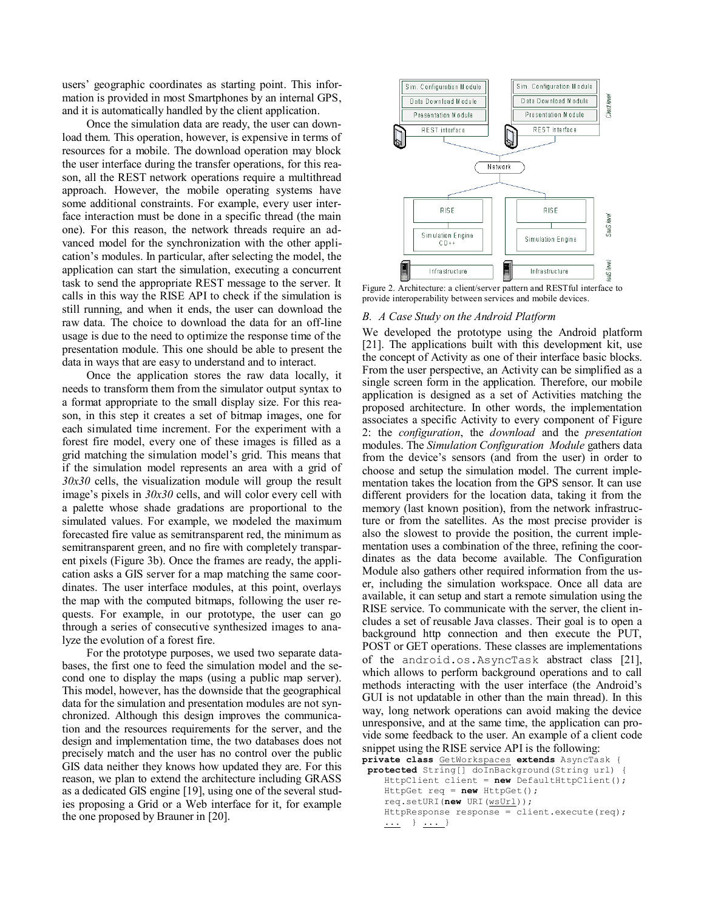users' geographic coordinates as starting point. This information is provided in most Smartphones by an internal GPS, and it is automatically handled by the client application.

Once the simulation data are ready, the user can download them. This operation, however, is expensive in terms of resources for a mobile. The download operation may block the user interface during the transfer operations, for this reason, all the REST network operations require a multithread approach. However, the mobile operating systems have some additional constraints. For example, every user interface interaction must be done in a specific thread (the main one). For this reason, the network threads require an advanced model for the synchronization with the other application's modules. In particular, after selecting the model, the application can start the simulation, executing a concurrent task to send the appropriate REST message to the server. It calls in this way the RISE API to check if the simulation is still running, and when it ends, the user can download the raw data. The choice to download the data for an off-line usage is due to the need to optimize the response time of the presentation module. This one should be able to present the data in ways that are easy to understand and to interact.

Once the application stores the raw data locally, it needs to transform them from the simulator output syntax to a format appropriate to the small display size. For this reason, in this step it creates a set of bitmap images, one for each simulated time increment. For the experiment with a forest fire model, every one of these images is filled as a grid matching the simulation model's grid. This means that if the simulation model represents an area with a grid of *30x30* cells, the visualization module will group the result image's pixels in *30x30* cells, and will color every cell with a palette whose shade gradations are proportional to the simulated values. For example, we modeled the maximum forecasted fire value as semitransparent red, the minimum as semitransparent green, and no fire with completely transparent pixels (Figure 3b). Once the frames are ready, the application asks a GIS server for a map matching the same coordinates. The user interface modules, at this point, overlays the map with the computed bitmaps, following the user requests. For example, in our prototype, the user can go through a series of consecutive synthesized images to analyze the evolution of a forest fire.

For the prototype purposes, we used two separate databases, the first one to feed the simulation model and the second one to display the maps (using a public map server). This model, however, has the downside that the geographical data for the simulation and presentation modules are not synchronized. Although this design improves the communication and the resources requirements for the server, and the design and implementation time, the two databases does not precisely match and the user has no control over the public GIS data neither they knows how updated they are. For this reason, we plan to extend the architecture including GRASS as a dedicated GIS engine [19], using one of the several studies proposing a Grid or a Web interface for it, for example the one proposed by Brauner in [20].



<span id="page-4-0"></span>Figure 2. Architecture: a client/server pattern and RESTful interface to provide interoperability between services and mobile devices.

# *B. A Case Study on the Android Platform*

We developed the prototype using the Android platform [21]. The applications built with this development kit, use the concept of Activity as one of their interface basic blocks. From the user perspective, an Activity can be simplified as a single screen form in the application. Therefore, our mobile application is designed as a set of Activities matching the proposed architecture. In other words, the implementation associates a specific Activity to every component of [Figure](#page-4-0)  [2:](#page-4-0) the *configuration*, the *download* and the *presentation* modules. The *Simulation Configuration Module* gathers data from the device's sensors (and from the user) in order to choose and setup the simulation model. The current implementation takes the location from the GPS sensor. It can use different providers for the location data, taking it from the memory (last known position), from the network infrastructure or from the satellites. As the most precise provider is also the slowest to provide the position, the current implementation uses a combination of the three, refining the coordinates as the data become available. The Configuration Module also gathers other required information from the user, including the simulation workspace. Once all data are available, it can setup and start a remote simulation using the RISE service. To communicate with the server, the client includes a set of reusable Java classes. Their goal is to open a background http connection and then execute the PUT, POST or GET operations. These classes are implementations of the android.os.AsyncTask abstract class [21], which allows to perform background operations and to call methods interacting with the user interface (the Android's GUI is not updatable in other than the main thread). In this way, long network operations can avoid making the device unresponsive, and at the same time, the application can provide some feedback to the user. An example of a client code snippet using the RISE service API is the following:

```
private class GetWorkspaces extends AsyncTask {
protected String[] doInBackground(String url) {
     HttpClient client = new DefaultHttpClient();
     HttpGet req = new HttpGet();
     req.setURI(new URI(wsUrl));
     HttpResponse response = client.execute(req);
     ... } ... }
```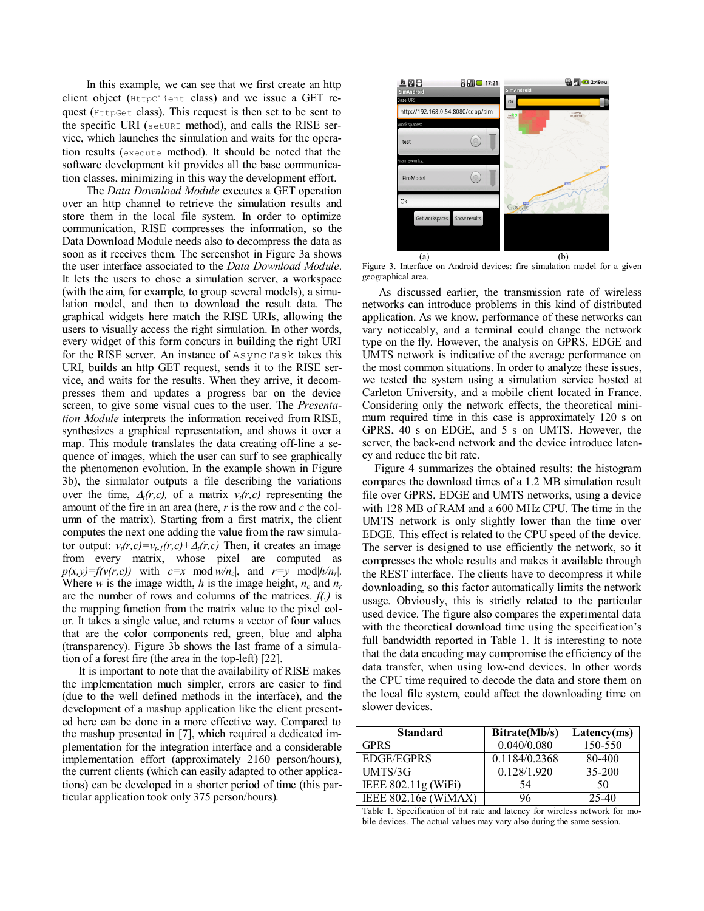In this example, we can see that we first create an http client object (HttpClient class) and we issue a GET request (HttpGet class). This request is then set to be sent to the specific URI (setURI method), and calls the RISE service, which launches the simulation and waits for the operation results (execute method). It should be noted that the software development kit provides all the base communication classes, minimizing in this way the development effort.

The *Data Download Module* executes a GET operation over an http channel to retrieve the simulation results and store them in the local file system. In order to optimize communication, RISE compresses the information, so the Data Download Module needs also to decompress the data as soon as it receives them. The screenshot in [Figure 3a](#page-5-0) shows the user interface associated to the *Data Download Module*. It lets the users to chose a simulation server, a workspace (with the aim, for example, to group several models), a simulation model, and then to download the result data. The graphical widgets here match the RISE URIs, allowing the users to visually access the right simulation. In other words, every widget of this form concurs in building the right URI for the RISE server. An instance of AsyncTask takes this URI, builds an http GET request, sends it to the RISE service, and waits for the results. When they arrive, it decompresses them and updates a progress bar on the device screen, to give some visual cues to the user. The *Presentation Module* interprets the information received from RISE, synthesizes a graphical representation, and shows it over a map. This module translates the data creating off-line a sequence of images, which the user can surf to see graphically the phenomenon evolution. In the example shown in Figure 3b), the simulator outputs a file describing the variations over the time,  $\Delta_i(r,c)$ , of a matrix  $v_i(r,c)$  representing the amount of the fire in an area (here, *r* is the row and *c* the column of the matrix). Starting from a first matrix, the client computes the next one adding the value from the raw simulator output:  $v_t(r,c)=v_{t-1}(r,c)+\Delta_t(r,c)$  Then, it creates an image from every matrix, whose pixel are computed as  $p(x,y)=f(v(r,c))$  with  $c=x \text{ mod } |w/n_c|$ , and  $r=y \text{ mod } |h/n_r|$ . Where *w* is the image width, *h* is the image height,  $n_c$  and  $n_r$ are the number of rows and columns of the matrices. *f(.)* is the mapping function from the matrix value to the pixel color. It takes a single value, and returns a vector of four values that are the color components red, green, blue and alpha (transparency). Figure 3b shows the last frame of a simulation of a forest fire (the area in the top-left) [22].

It is important to note that the availability of RISE makes the implementation much simpler, errors are easier to find (due to the well defined methods in the interface), and the development of a mashup application like the client presented here can be done in a more effective way. Compared to the mashup presented in [7], which required a dedicated implementation for the integration interface and a considerable implementation effort (approximately 2160 person/hours), the current clients (which can easily adapted to other applications) can be developed in a shorter period of time (this particular application took only 375 person/hours).



<span id="page-5-0"></span>Figure 3. Interface on Android devices: fire simulation model for a given geographical area.

As discussed earlier, the transmission rate of wireless networks can introduce problems in this kind of distributed application. As we know, performance of these networks can vary noticeably, and a terminal could change the network type on the fly. However, the analysis on GPRS, EDGE and UMTS network is indicative of the average performance on the most common situations. In order to analyze these issues, we tested the system using a simulation service hosted at Carleton University, and a mobile client located in France. Considering only the network effects, the theoretical minimum required time in this case is approximately 120 s on GPRS, 40 s on EDGE, and 5 s on UMTS. However, the server, the back-end network and the device introduce latency and reduce the bit rate.

[Figure 4](#page-6-0) summarizes the obtained results: the histogram compares the download times of a 1.2 MB simulation result file over GPRS, EDGE and UMTS networks, using a device with 128 MB of RAM and a 600 MHz CPU. The time in the UMTS network is only slightly lower than the time over EDGE. This effect is related to the CPU speed of the device. The server is designed to use efficiently the network, so it compresses the whole results and makes it available through the REST interface. The clients have to decompress it while downloading, so this factor automatically limits the network usage. Obviously, this is strictly related to the particular used device. The figure also compares the experimental data with the theoretical download time using the specification's full bandwidth reported in [Table 1.](#page-5-1) It is interesting to note that the data encoding may compromise the efficiency of the data transfer, when using low-end devices. In other words the CPU time required to decode the data and store them on the local file system, could affect the downloading time on slower devices.

| <b>Standard</b>      | Bitrate(Mb/s) | Latency(ms) |
|----------------------|---------------|-------------|
| <b>GPRS</b>          | 0.040/0.080   | 150-550     |
| <b>EDGE/EGPRS</b>    | 0.1184/0.2368 | 80-400      |
| UMTS/3G              | 0.128/1.920   | 35-200      |
| IEEE 802.11g (WiFi)  | 54            | 50          |
| IEEE 802.16e (WiMAX) | 96            | 25-40       |

<span id="page-5-1"></span>Table 1. Specification of bit rate and latency for wireless network for mobile devices. The actual values may vary also during the same session.